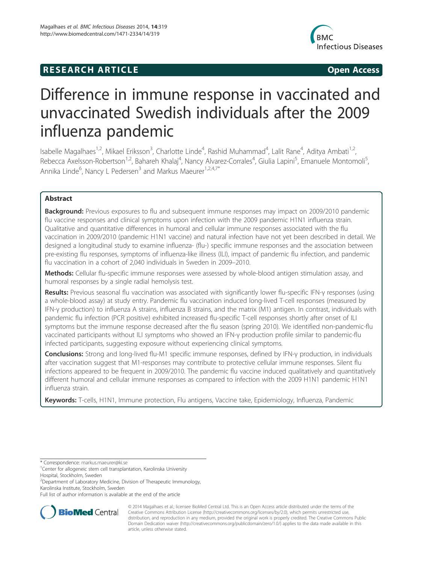## **RESEARCH ARTICLE CONSUMING A RESEARCH ARTICLE**



# Difference in immune response in vaccinated and unvaccinated Swedish individuals after the 2009 influenza pandemic

Isabelle Magalhaes<sup>1,2</sup>, Mikael Eriksson<sup>3</sup>, Charlotte Linde<sup>4</sup>, Rashid Muhammad<sup>4</sup>, Lalit Rane<sup>4</sup>, Aditya Ambati<sup>1,2</sup>, Rebecca Axelsson-Robertson<sup>1,2</sup>, Bahareh Khalaj<sup>4</sup>, Nancy Alvarez-Corrales<sup>4</sup>, Giulia Lapini<sup>5</sup>, Emanuele Montomoli<sup>5</sup> , Annika Linde<sup>6</sup>, Nancy L Pedersen<sup>3</sup> and Markus Maeurer<sup>1,2,4,7\*</sup>

## Abstract

Background: Previous exposures to flu and subsequent immune responses may impact on 2009/2010 pandemic flu vaccine responses and clinical symptoms upon infection with the 2009 pandemic H1N1 influenza strain. Qualitative and quantitative differences in humoral and cellular immune responses associated with the flu vaccination in 2009/2010 (pandemic H1N1 vaccine) and natural infection have not yet been described in detail. We designed a longitudinal study to examine influenza- (flu-) specific immune responses and the association between pre-existing flu responses, symptoms of influenza-like illness (ILI), impact of pandemic flu infection, and pandemic flu vaccination in a cohort of 2,040 individuals in Sweden in 2009–2010.

Methods: Cellular flu-specific immune responses were assessed by whole-blood antigen stimulation assay, and humoral responses by a single radial hemolysis test.

Results: Previous seasonal flu vaccination was associated with significantly lower flu-specific IFN-γ responses (using a whole-blood assay) at study entry. Pandemic flu vaccination induced long-lived T-cell responses (measured by IFN-γ production) to influenza A strains, influenza B strains, and the matrix (M1) antigen. In contrast, individuals with pandemic flu infection (PCR positive) exhibited increased flu-specific T-cell responses shortly after onset of ILI symptoms but the immune response decreased after the flu season (spring 2010). We identified non-pandemic-flu vaccinated participants without ILI symptoms who showed an IFN-γ production profile similar to pandemic-flu infected participants, suggesting exposure without experiencing clinical symptoms.

Conclusions: Strong and long-lived flu-M1 specific immune responses, defined by IFN-γ production, in individuals after vaccination suggest that M1-responses may contribute to protective cellular immune responses. Silent flu infections appeared to be frequent in 2009/2010. The pandemic flu vaccine induced qualitatively and quantitatively different humoral and cellular immune responses as compared to infection with the 2009 H1N1 pandemic H1N1 influenza strain.

Keywords: T-cells, H1N1, Immune protection, Flu antigens, Vaccine take, Epidemiology, Influenza, Pandemic

Full list of author information is available at the end of the article



© 2014 Magalhaes et al.; licensee BioMed Central Ltd. This is an Open Access article distributed under the terms of the Creative Commons Attribution License (http://creativecommons.org/licenses/by/2.0), which permits unrestricted use, distribution, and reproduction in any medium, provided the original work is properly credited. The Creative Commons Public Domain Dedication waiver (http://creativecommons.org/publicdomain/zero/1.0/) applies to the data made available in this article, unless otherwise stated.

<sup>\*</sup> Correspondence: markus.maeurer@ki.se <sup>1</sup>

<sup>&</sup>lt;sup>1</sup> Center for allogeneic stem cell transplantation, Karolinska University

Hospital, Stockholm, Sweden

<sup>&</sup>lt;sup>2</sup> Department of Laboratory Medicine, Division of Therapeutic Immunology, Karolinska Institute, Stockholm, Sweden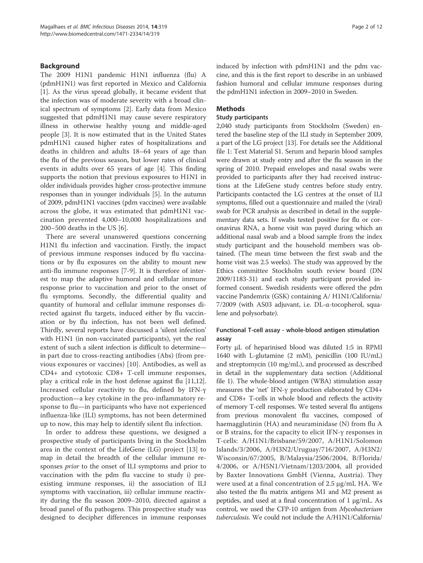## Background

The 2009 H1N1 pandemic H1N1 influenza (flu) A (pdmH1N1) was first reported in Mexico and California [1]. As the virus spread globally, it became evident that the infection was of moderate severity with a broad clinical spectrum of symptoms [2]. Early data from Mexico suggested that pdmH1N1 may cause severe respiratory illness in otherwise healthy young and middle-aged people [3]. It is now estimated that in the United States pdmH1N1 caused higher rates of hospitalizations and deaths in children and adults 18–64 years of age than the flu of the previous season, but lower rates of clinical events in adults over 65 years of age [4]. This finding supports the notion that previous exposures to H1N1 in older individuals provides higher cross-protective immune responses than in younger individuals [5]. In the autumn of 2009, pdmH1N1 vaccines (pdm vaccines) were available across the globe, it was estimated that pdmH1N1 vaccination prevented 4,000–10,000 hospitalizations and 200–500 deaths in the US [6].

There are several unanswered questions concerning H1N1 flu infection and vaccination. Firstly, the impact of previous immune responses induced by flu vaccinations or by flu exposures on the ability to mount new anti-flu immune responses [7-9]. It is therefore of interest to map the adaptive humoral and cellular immune response prior to vaccination and prior to the onset of flu symptoms. Secondly, the differential quality and quantity of humoral and cellular immune responses directed against flu targets, induced either by flu vaccination or by flu infection, has not been well defined. Thirdly, several reports have discussed a 'silent infection' with H1N1 (in non-vaccinated participants), yet the real extent of such a silent infection is difficult to determine in part due to cross-reacting antibodies (Abs) (from previous exposures or vaccines) [10]. Antibodies, as well as CD4+ and cytotoxic CD8+ T-cell immune responses, play a critical role in the host defense against flu [11,12]. Increased cellular reactivity to flu, defined by IFN-γ production—a key cytokine in the pro-inflammatory response to flu—in participants who have not experienced influenza-like (ILI) symptoms, has not been determined up to now, this may help to identify silent flu infection.

In order to address these questions, we designed a prospective study of participants living in the Stockholm area in the context of the LifeGene (LG) project [13] to map in detail the breadth of the cellular immune responses prior to the onset of ILI symptoms and prior to vaccination with the pdm flu vaccine to study i) preexisting immune responses, ii) the association of ILI symptoms with vaccination, iii) cellular immune reactivity during the flu season 2009–2010, directed against a broad panel of flu pathogens. This prospective study was designed to decipher differences in immune responses induced by infection with pdmH1N1 and the pdm vaccine, and this is the first report to describe in an unbiased fashion humoral and cellular immune responses during the pdmH1N1 infection in 2009–2010 in Sweden.

## Methods

#### Study participants

2,040 study participants from Stockholm (Sweden) entered the baseline step of the ILI study in September 2009, a part of the LG project [13]. For details see the Additional file 1: Text Material S1. Serum and heparin blood samples were drawn at study entry and after the flu season in the spring of 2010. Prepaid envelopes and nasal swabs were provided to participants after they had received instructions at the LifeGene study centres before study entry. Participants contacted the LG centres at the onset of ILI symptoms, filled out a questionnaire and mailed the (viral) swab for PCR analysis as described in detail in the supplementary data sets. If swabs tested positive for flu or coronavirus RNA, a home visit was payed during which an additional nasal swab and a blood sample from the index study participant and the household members was obtained. (The mean time between the first swab and the home visit was 2.5 weeks). The study was approved by the Ethics committee Stockholm south review board (DN 2009/1183-31) and each study participant provided informed consent. Swedish residents were offered the pdm vaccine Pandemrix (GSK) containing A/ H1N1/California/ 7/2009 (with AS03 adjuvant, i.e. DL-α-tocopherol, squalene and polysorbate).

## Functional T-cell assay - whole-blood antigen stimulation assay

Forty μL of heparinised blood was diluted 1:5 in RPMI 1640 with L-glutamine (2 mM), penicillin (100 IU/mL) and streptomycin (10 mg/mL), and processed as described in detail in the supplementary data section (Additional file 1). The whole-blood antigen (WBA) stimulation assay measures the 'net' IFN-γ production elaborated by CD4+ and CD8+ T-cells in whole blood and reflects the activity of memory T-cell responses. We tested several flu antigens from previous monovalent flu vaccines, composed of haemagglutinin (HA) and neuraminidase (N) from flu A or B strains, for the capacity to elicit IFN-γ responses in T-cells: A/H1N1/Brisbane/59/2007, A/H1N1/Solomon Islands/3/2006, A/H3N2/Uruguay/716/2007, A/H3N2/ Wisconsin/67/2005, B/Malaysia/2506/2004, B/Florida/ 4/2006, or A/H5N1/Vietnam/1203/2004, all provided by Baxter Innovations GmbH (Vienna, Austria). They were used at a final concentration of 2.5 μg/mL HA. We also tested the flu matrix antigens M1 and M2 present as peptides, and used at a final concentration of 1 μg/mL. As control, we used the CFP-10 antigen from Mycobacterium tuberculosis. We could not include the A/H1N1/California/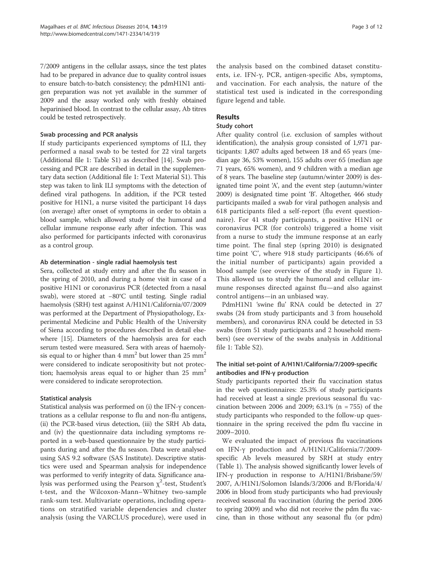7/2009 antigens in the cellular assays, since the test plates had to be prepared in advance due to quality control issues to ensure batch-to-batch consistency; the pdmH1N1 antigen preparation was not yet available in the summer of 2009 and the assay worked only with freshly obtained heparinised blood. In contrast to the cellular assay, Ab titres could be tested retrospectively.

#### Swab processing and PCR analysis

If study participants experienced symptoms of ILI, they performed a nasal swab to be tested for 22 viral targets (Additional file 1: Table S1) as described [14]. Swab processing and PCR are described in detail in the supplementary data section (Additional file 1: Text Material S1). This step was taken to link ILI symptoms with the detection of defined viral pathogens. In addition, if the PCR tested positive for H1N1, a nurse visited the participant 14 days (on average) after onset of symptoms in order to obtain a blood sample, which allowed study of the humoral and cellular immune response early after infection. This was also performed for participants infected with coronavirus as a control group.

## Ab determination - single radial haemolysis test

Sera, collected at study entry and after the flu season in the spring of 2010, and during a home visit in case of a positive H1N1 or coronavirus PCR (detected from a nasal swab), were stored at −80°C until testing. Single radial haemolysis (SRH) test against A/H1N1/California/07/2009 was performed at the Department of Physiopathology, Experimental Medicine and Public Health of the University of Siena according to procedures described in detail elsewhere [15]. Diameters of the haemolysis area for each serum tested were measured. Sera with areas of haemolysis equal to or higher than  $4 \text{ mm}^2$  but lower than  $25 \text{ mm}^2$ were considered to indicate seropositivity but not protection; haemolysis areas equal to or higher than  $25 \text{ mm}^2$ were considered to indicate seroprotection.

## Statistical analysis

Statistical analysis was performed on (i) the IFN-γ concentrations as a cellular response to flu and non-flu antigens, (ii) the PCR-based virus detection, (iii) the SRH Ab data, and (iv) the questionnaire data including symptoms reported in a web-based questionnaire by the study participants during and after the flu season. Data were analysed using SAS 9.2 software (SAS Institute). Descriptive statistics were used and Spearman analysis for independence was performed to verify integrity of data. Significance analysis was performed using the Pearson  $\chi^2$ -test, Student's t-test, and the Wilcoxon-Mann–Whitney two-sample rank-sum test. Multivariate operations, including operations on stratified variable dependencies and cluster analysis (using the VARCLUS procedure), were used in

the analysis based on the combined dataset constituents, i.e. IFN-γ, PCR, antigen-specific Abs, symptoms, and vaccination. For each analysis, the nature of the statistical test used is indicated in the corresponding figure legend and table.

## Results

#### Study cohort

After quality control (i.e. exclusion of samples without identification), the analysis group consisted of 1,971 participants: 1,807 adults aged between 18 and 65 years (median age 36, 53% women), 155 adults over 65 (median age 71 years, 65% women), and 9 children with a median age of 8 years. The baseline step (autumn/winter 2009) is designated time point 'A', and the event step (autumn/winter 2009) is designated time point 'B'. Altogether, 466 study participants mailed a swab for viral pathogen analysis and 618 participants filed a self-report (flu event questionnaire). For 41 study participants, a positive H1N1 or coronavirus PCR (for controls) triggered a home visit from a nurse to study the immune response at an early time point. The final step (spring 2010) is designated time point 'C', where 918 study participants (46.6% of the initial number of participants) again provided a blood sample (see overview of the study in Figure 1). This allowed us to study the humoral and cellular immune responses directed against flu—and also against control antigens—in an unbiased way.

PdmH1N1 'swine flu' RNA could be detected in 27 swabs (24 from study participants and 3 from household members), and coronavirus RNA could be detected in 53 swabs (from 51 study participants and 2 household members) (see overview of the swabs analysis in Additional file 1: Table S2).

## The initial set-point of A/H1N1/California/7/2009-specific antibodies and IFN-γ production

Study participants reported their flu vaccination status in the web questionnaires: 25.3% of study participants had received at least a single previous seasonal flu vaccination between 2006 and 2009; 63.1% (n = 755) of the study participants who responded to the follow-up questionnaire in the spring received the pdm flu vaccine in 2009–2010.

We evaluated the impact of previous flu vaccinations on IFN-γ production and A/H1N1/California/7/2009 specific Ab levels measured by SRH at study entry (Table 1). The analysis showed significantly lower levels of IFN-γ production in response to A/H1N1/Brisbane/59/ 2007, A/H1N1/Solomon Islands/3/2006 and B/Florida/4/ 2006 in blood from study participants who had previously received seasonal flu vaccination (during the period 2006 to spring 2009) and who did not receive the pdm flu vaccine, than in those without any seasonal flu (or pdm)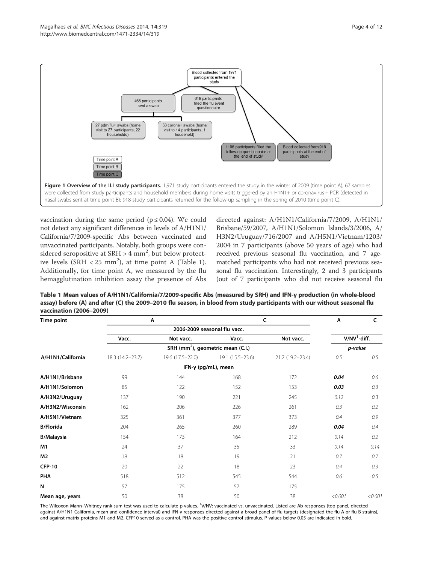

vaccination during the same period ( $p \le 0.04$ ). We could not detect any significant differences in levels of A/H1N1/ California/7/2009-specific Abs between vaccinated and unvaccinated participants. Notably, both groups were considered seropositive at SRH  $>$  4 mm<sup>2</sup>, but below protective levels  $(SRH < 25 mm<sup>2</sup>)$ , at time point A (Table 1). Additionally, for time point A, we measured by the flu hemagglutination inhibition assay the presence of Abs directed against: A/H1N1/California/7/2009, A/H1N1/ Brisbane/59/2007, A/H1N1/Solomon Islands/3/2006, A/ H3N2/Uruguay/716/2007 and A/H5N1/Vietnam/1203/ 2004 in 7 participants (above 50 years of age) who had received previous seasonal flu vaccination, and 7 agematched participants who had not received previous seasonal flu vaccination. Interestingly, 2 and 3 participants (out of 7 participants who did not receive seasonal flu

Table 1 Mean values of A/H1N1/California/7/2009-specific Abs (measured by SRH) and IFN-γ production (in whole-blood assay) before (A) and after (C) the 2009–2010 flu season, in blood from study participants with our without seasonal flu vaccination (2006–2009)

| Time point        |                  | $\overline{A}$   | C                                             | A                | C       |                |
|-------------------|------------------|------------------|-----------------------------------------------|------------------|---------|----------------|
|                   |                  |                  |                                               |                  |         |                |
|                   | Vacc.            | Not vacc.        | Vacc.                                         | Not vacc.        |         | $V/NV1$ -diff. |
|                   |                  |                  | SRH (mm <sup>2</sup> ), geometric mean (C.I.) |                  |         | p-value        |
| A/H1N1/California | 18.3 (14.2-23.7) | 19.6 (17.5-22.0) | 19.1 (15.5-23.6)                              | 21.2 (19.2-23.4) | 0.5     | 0.5            |
|                   |                  |                  | IFN- $\gamma$ (pg/mL), mean                   |                  |         |                |
| A/H1N1/Brisbane   | 99               | 144              | 168                                           | 172              | 0.04    | 0.6            |
| A/H1N1/Solomon    | 85               | 122              | 152                                           | 153              |         |                |
| A/H3N2/Uruguay    | 137              | 190              | 221                                           | 245              | 0.12    | 0.3            |
| A/H3N2/Wisconsin  | 162              | 206              | 226                                           | 261              | 0.3     | 0.2            |
| A/H5N1/Vietnam    | 325              | 361              | 377                                           | 373              | 0.4     | 0.9            |
| <b>B/Florida</b>  | 204              | 265              | 260                                           | 289              | 0.04    | 0.4            |
| <b>B/Malaysia</b> | 154              | 173              | 164                                           | 212              |         |                |
| M <sub>1</sub>    | 24               | 37               | 35                                            | 33               | 0.14    | 0.14           |
| M <sub>2</sub>    | 18               | 18               | 19                                            | 21               | 0.7     | 0.7            |
| <b>CFP-10</b>     | 20               | 22               | 18                                            | 23               | 0.4     | 0.3            |
| PHA               | 518              | 512              | 545                                           | 544              | 0.6     | 0.5            |
| N                 | 57               | 175              | 57                                            | 175              |         |                |
| Mean age, years   | 50               | 38               | 50                                            | 38               | < 0.001 | < 0.001        |

The Wilcoxon-Mann–Whitney rank-sum test was used to calculate p-values. <sup>1</sup>V/NV: vaccinated vs. unvaccinated. Listed are Ab responses (top panel, directed against A/H1N1 California, mean and confidence interval) and IFN-γ responses directed against a broad panel of flu targets (designated the flu A or flu B strains), and against matrix proteins M1 and M2. CFP10 served as a control. PHA was the positive control stimulus. P values below 0.05 are indicated in bold.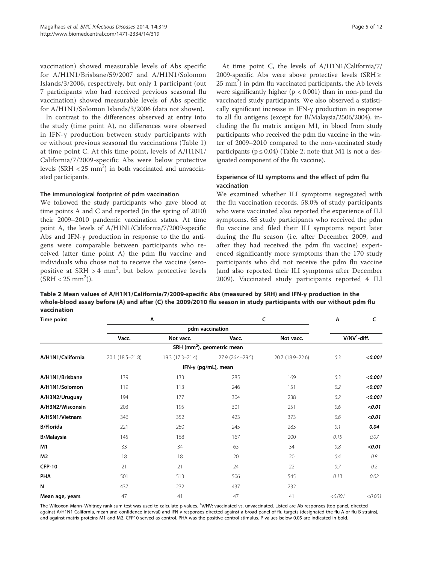vaccination) showed measurable levels of Abs specific for A/H1N1/Brisbane/59/2007 and A/H1N1/Solomon Islands/3/2006, respectively, but only 1 participant (out 7 participants who had received previous seasonal flu vaccination) showed measurable levels of Abs specific for A/H1N1/Solomon Islands/3/2006 (data not shown).

In contrast to the differences observed at entry into the study (time point A), no differences were observed in IFN-γ production between study participants with or without previous seasonal flu vaccinations (Table 1) at time point C. At this time point, levels of A/H1N1/ California/7/2009-specific Abs were below protective levels  $(SRH < 25 \text{ mm}^2)$  in both vaccinated and unvaccinated participants.

#### The immunological footprint of pdm vaccination

We followed the study participants who gave blood at time points A and C and reported (in the spring of 2010) their 2009–2010 pandemic vaccination status. At time point A, the levels of A/H1N1/California/7/2009-specific Abs and IFN-γ production in response to the flu antigens were comparable between participants who received (after time point A) the pdm flu vaccine and individuals who chose not to receive the vaccine (seropositive at  $SRH > 4$  mm<sup>2</sup>, but below protective levels  $(SRH < 25 \text{ mm}^2)$ ).

At time point C, the levels of A/H1N1/California/7/ 2009-specific Abs were above protective levels (SRH ≥  $25$  mm<sup>2</sup>) in pdm flu vaccinated participants, the Ab levels were significantly higher ( $p < 0.001$ ) than in non-pmd flu vaccinated study participants. We also observed a statistically significant increase in IFN-γ production in response to all flu antigens (except for B/Malaysia/2506/2004), including the flu matrix antigen M1, in blood from study participants who received the pdm flu vaccine in the winter of 2009–2010 compared to the non-vaccinated study participants ( $p \le 0.04$ ) (Table 2; note that M1 is not a designated component of the flu vaccine).

## Experience of ILI symptoms and the effect of pdm flu vaccination

We examined whether ILI symptoms segregated with the flu vaccination records. 58.0% of study participants who were vaccinated also reported the experience of ILI symptoms. 65 study participants who received the pdm flu vaccine and filed their ILI symptoms report later during the flu season (i.e. after December 2009, and after they had received the pdm flu vaccine) experienced significantly more symptoms than the 170 study participants who did not receive the pdm flu vaccine (and also reported their ILI symptoms after December 2009). Vaccinated study participants reported 4 ILI

Table 2 Mean values of A/H1N1/California/7/2009-specific Abs (measured by SRH) and IFN-γ production in the whole-blood assay before (A) and after (C) the 2009/2010 flu season in study participants with our without pdm flu vaccination

| Time point        |                  | Α                | C                                      | Α                | c       |                |
|-------------------|------------------|------------------|----------------------------------------|------------------|---------|----------------|
|                   |                  |                  |                                        |                  |         |                |
|                   | Vacc.            | Not vacc.        | Vacc.                                  | Not vacc.        |         | $V/NV1$ -diff. |
|                   |                  |                  | SRH (mm <sup>2</sup> ), geometric mean |                  |         |                |
| A/H1N1/California | 20.1 (18.5-21.8) | 19.3 (17.3-21.4) | 27.9 (26.4-29.5)                       | 20.7 (18.9-22.6) | 0.3     | < 0.001        |
|                   |                  |                  | IFN- $\gamma$ (pg/mL), mean            |                  |         |                |
| A/H1N1/Brisbane   | 139              | 133              | 285                                    | 169              | 0.3     | < 0.001        |
| A/H1N1/Solomon    | 119              | 113              | 246                                    | 151              | 0.2     | < 0.001        |
| A/H3N2/Uruguay    | 194              | 177              | 304                                    | 238              | 0.2     | < 0.001        |
| A/H3N2/Wisconsin  | 203              | 195              | 301                                    | 251              | 0.6     | < 0.01         |
| A/H5N1/Vietnam    | 346              | 352              | 423                                    | 373              | 0.6     | < 0.01         |
| <b>B/Florida</b>  | 221              | 250              | 245                                    | 283              | 0.1     | 0.04           |
| <b>B/Malaysia</b> | 145              | 168              | 167                                    | 200              | 0.15    | 0.07           |
| M1                | 33               | 34               | 63                                     | 34               | 0.8     | < 0.01         |
| M <sub>2</sub>    | 18               | 18               | 20                                     | 20               | 0.4     | 0.8            |
| <b>CFP-10</b>     | 21               | 21               | 24                                     | 22               | 0.7     | 0.2            |
| PHA               | 501              | 513              | 506                                    | 545              | 0.13    | 0.02           |
| N                 | 437              | 232              | 437                                    | 232              |         |                |
| Mean age, years   | 47               | 41               | 47                                     | 41               | < 0.001 | < 0.001        |

The Wilcoxon-Mann–Whitney rank-sum test was used to calculate p-values. <sup>1</sup>V/NV: vaccinated vs. unvaccinated. Listed are Ab responses (top panel, directed against A/H1N1 California, mean and confidence interval) and IFN-γ responses directed against a broad panel of flu targets (designated the flu A or flu B strains), and against matrix proteins M1 and M2. CFP10 served as control. PHA was the positive control stimulus. P values below 0.05 are indicated in bold.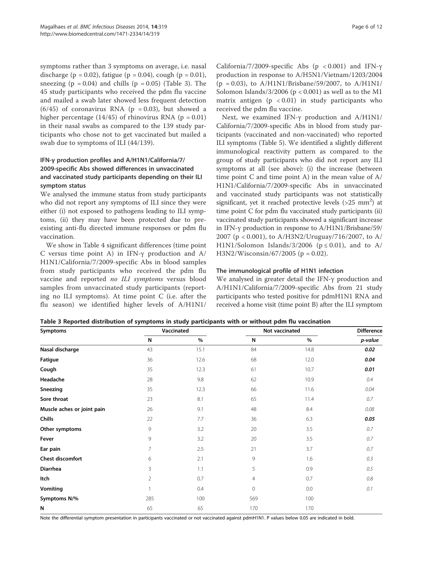symptoms rather than 3 symptoms on average, i.e. nasal discharge (p = 0.02), fatigue (p = 0.04), cough (p = 0.01), sneezing ( $p = 0.04$ ) and chills ( $p = 0.05$ ) (Table 3). The 45 study participants who received the pdm flu vaccine and mailed a swab later showed less frequent detection  $(6/45)$  of coronavirus RNA (p = 0.03), but showed a higher percentage  $(14/45)$  of rhinovirus RNA (p = 0.01) in their nasal swabs as compared to the 139 study participants who chose not to get vaccinated but mailed a swab due to symptoms of ILI (44/139).

## IFN-γ production profiles and A/H1N1/California/7/ 2009-specific Abs showed differences in unvaccinated and vaccinated study participants depending on their ILI symptom status

We analysed the immune status from study participants who did not report any symptoms of ILI since they were either (i) not exposed to pathogens leading to ILI symptoms, (ii) they may have been protected due to preexisting anti-flu directed immune responses or pdm flu vaccination.

We show in Table 4 significant differences (time point C versus time point A) in IFN-γ production and A/ H1N1/California/7/2009-specific Abs in blood samples from study participants who received the pdm flu vaccine and reported no ILI symptoms versus blood samples from unvaccinated study participants (reporting no ILI symptoms). At time point C (i.e. after the flu season) we identified higher levels of A/H1N1/

California/7/2009-specific Abs ( $p < 0.001$ ) and IFN- $\gamma$ production in response to A/H5N1/Vietnam/1203/2004  $(p = 0.03)$ , to A/H1N1/Brisbane/59/2007, to A/H1N1/ Solomon Islands/3/2006 ( $p < 0.001$ ) as well as to the M1 matrix antigen  $(p \lt 0.01)$  in study participants who received the pdm flu vaccine.

Next, we examined IFN-γ production and A/H1N1/ California/7/2009-specific Abs in blood from study participants (vaccinated and non-vaccinated) who reported ILI symptoms (Table 5). We identified a slightly different immunological reactivity pattern as compared to the group of study participants who did not report any ILI symptoms at all (see above): (i) the increase (between time point C and time point A) in the mean value of A/ H1N1/California/7/2009-specific Abs in unvaccinated and vaccinated study participants was not statistically significant, yet it reached protective levels  $(>25$  mm<sup>2</sup>) at time point C for pdm flu vaccinated study participants (ii) vaccinated study participants showed a significant increase in IFN-γ production in response to A/H1N1/Brisbane/59/ 2007 (p < 0.001), to A/H3N2/Uruguay/716/2007, to A/ H1N1/Solomon Islands/3/2006 ( $p \le 0.01$ ), and to A/  $H3N2/W$ isconsin/67/2005 (p = 0.02).

## The immunological profile of H1N1 infection

We analysed in greater detail the IFN-γ production and A/H1N1/California/7/2009-specific Abs from 21 study participants who tested positive for pdmH1N1 RNA and received a home visit (time point B) after the ILI symptom

|  |  |  | Table 3 Reported distribution of symptoms in study participants with or without pdm flu vaccination |
|--|--|--|-----------------------------------------------------------------------------------------------------|
|--|--|--|-----------------------------------------------------------------------------------------------------|

| <b>Symptoms</b>            |     | Vaccinated | Not vaccinated | <b>Difference</b> |         |
|----------------------------|-----|------------|----------------|-------------------|---------|
|                            | N   | %          | N              | $\%$              | p-value |
| Nasal discharge            | 43  | 15.1       | 84             | 14.8              | 0.02    |
| Fatigue                    | 36  | 12.6       | 68             | 12.0              | 0.04    |
| Cough                      | 35  | 12.3       | 61             | 10.7              | 0.01    |
| Headache                   | 28  | 9.8        | 62             | 10.9              | 0.4     |
| Sneezing                   | 35  | 12.3       | 66             | 11.6              | 0.04    |
| Sore throat                | 23  | 8.1        | 65             | 11.4              | 0.7     |
| Muscle aches or joint pain | 26  | 9.1        | 48             | 8.4               | 0.08    |
| <b>Chills</b>              | 22  | 7.7        | 36             | 6.3               | 0.05    |
| Other symptoms             | 9   | 3.2        | 20             | 3.5               | 0.7     |
| Fever                      | 9   | 3.2        | 20             | 3.5               | 0.7     |
| Ear pain                   | 7   | 2.5        | 21             | 3.7               | 0.7     |
| Chest discomfort           | 6   | 2.1        | 9              | 1.6               | 0.3     |
| Diarrhea                   | 3   | 1.1        | 5              | 0.9               | 0.5     |
| Itch                       | 2   | 0.7        | 4              | 0.7               | $0.8\,$ |
| Vomiting                   |     | 0.4        | $\mathbf{0}$   | 0.0               | 0.1     |
| Symptoms N/%               | 285 | 100        | 569            | 100               |         |
| N                          | 65  | 65         | 170            | 170               |         |

Note the differential symptom presentation in participants vaccinated or not vaccinated against pdmH1N1. P values below 0.05 are indicated in bold.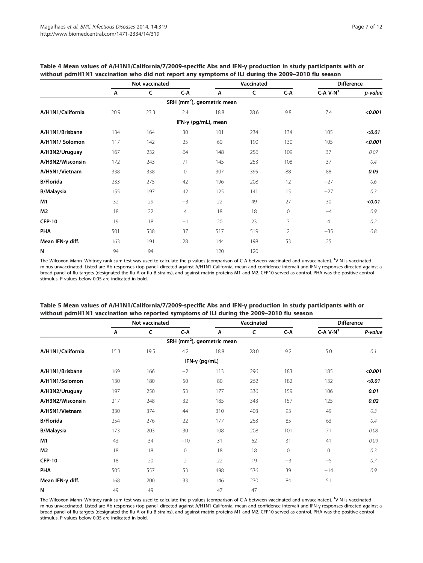|                   |      | Not vaccinated |                                        |                             | Vaccinated | <b>Difference</b> |                |         |
|-------------------|------|----------------|----------------------------------------|-----------------------------|------------|-------------------|----------------|---------|
|                   | Α    | C              | C-A                                    | A                           | C          | C-A               | $C-A V-N1$     | p-value |
|                   |      |                | SRH (mm <sup>2</sup> ), geometric mean |                             |            |                   |                |         |
| A/H1N1/California | 20.9 | 23.3           | 2.4                                    | 18.8                        | 28.6       | 9.8               | 7.4            | < 0.001 |
|                   |      |                |                                        | IFN- $\gamma$ (pg/mL), mean |            |                   |                |         |
| A/H1N1/Brisbane   | 134  | 164            | 30                                     | 101                         | 234        | 134               | 105            | < 0.01  |
| A/H1N1/ Solomon   | 117  | 142            | 25                                     | 60                          | 190        | 130               | 105            | < 0.001 |
| A/H3N2/Uruguay    | 167  | 232            | 64                                     | 148                         | 256        | 109               | 37             | 0.07    |
| A/H3N2/Wisconsin  | 172  | 243            | 71                                     | 145                         | 253        | 108               | 37             | 0.4     |
| A/H5N1/Vietnam    | 338  | 338            | $\mathbf{0}$                           | 307                         | 395        | 88                | 88             | 0.03    |
| <b>B/Florida</b>  | 233  | 275            | 42                                     | 196                         | 208        | 12                | $-27$          | 0.6     |
| <b>B/Malaysia</b> | 155  | 197            | 42                                     | 125                         | 141        | 15                | $-27$          | 0.3     |
| M1                | 32   | 29             | $-3$                                   | 22                          | 49         | 27                | 30             | < 0.01  |
| M <sub>2</sub>    | 18   | 22             | $\overline{4}$                         | 18                          | 18         | 0                 | $-4$           | 0.9     |
| <b>CFP-10</b>     | 19   | 18             | $-1$                                   | 20                          | 23         | 3                 | $\overline{4}$ | 0.2     |
| PHA               | 501  | 538            | 37                                     | 517                         | 519        | $\overline{2}$    | $-35$          | 0.8     |
| Mean IFN-y diff.  | 163  | 191            | 28                                     | 144                         | 198        | 53                | 25             |         |
| N                 | 94   | 94             |                                        | 120                         | 120        |                   |                |         |

## Table 4 Mean values of A/H1N1/California/7/2009-specific Abs and IFN-γ production in study participants with or without pdmH1N1 vaccination who did not report any symptoms of ILI during the 2009–2010 flu season

The Wilcoxon-Mann–Whitney rank-sum test was used to calculate the p-values (comparison of C-A between vaccinated and unvaccinated). <sup>1</sup> V-N is vaccinated minus unvaccinated. Listed are Ab responses (top panel, directed against A/H1N1 California, mean and confidence interval) and IFN-γ responses directed against a broad panel of flu targets (designated the flu A or flu B strains), and against matrix proteins M1 and M2. CFP10 served as control. PHA was the positive control stimulus. P values below 0.05 are indicated in bold.

|                   | Not vaccinated |      |                                        |      | Vaccinated   | <b>Difference</b> |            |         |
|-------------------|----------------|------|----------------------------------------|------|--------------|-------------------|------------|---------|
|                   | A              | C    | C-A                                    | A    | $\mathsf{C}$ | C-A               | $C-A V-N1$ | P-value |
|                   |                |      | SRH (mm <sup>2</sup> ), geometric mean |      |              |                   |            |         |
| A/H1N1/California | 15.3           | 19.5 | 4.2                                    | 18.8 | 28.0         | 9.2               | 5.0        | 0.1     |
|                   |                |      | IFN-γ (pg/mL)                          |      |              |                   |            |         |
| A/H1N1/Brisbane   | 169            | 166  | $-2$                                   | 113  | 296          | 183               | 185        | < 0.001 |
| A/H1N1/Solomon    | 130            | 180  | 50                                     | 80   | 262          | 182               | 132        | < 0.01  |
| A/H3N2/Uruguay    | 197            | 250  | 53                                     | 177  | 336          | 159               | 106        | 0.01    |
| A/H3N2/Wisconsin  | 217            | 248  | 32                                     | 185  | 343          | 157               | 125        | 0.02    |
| A/H5N1/Vietnam    | 330            | 374  | 44                                     | 310  | 403          | 93                | 49         | 0.3     |
| <b>B/Florida</b>  | 254            | 276  | 22                                     | 177  | 263          | 85                | 63         | 0.4     |
| <b>B/Malaysia</b> | 173            | 203  | 30                                     | 108  | 208          | 101               | 71         | 0.08    |
| M1                | 43             | 34   | $-10$                                  | 31   | 62           | 31                | 41         | 0.09    |
| M2                | 18             | 18   | $\mathbf{0}$                           | 18   | 18           | 0                 | $\Omega$   | 0.3     |
| <b>CFP-10</b>     | 18             | 20   | $\overline{2}$                         | 22   | 19           | $-3$              | $-5$       | 0.7     |
| PHA               | 505            | 557  | 53                                     | 498  | 536          | 39                | $-14$      | 0.9     |
| Mean IFN-y diff.  | 168            | 200  | 33                                     | 146  | 230          | 84                | 51         |         |
| N                 | 49             | 49   |                                        | 47   | 47           |                   |            |         |

#### Table 5 Mean values of A/H1N1/California/7/2009-specific Abs and IFN-γ production in study participants with or without pdmH1N1 vaccination who reported symptoms of ILI during the 2009–2010 flu season

The Wilcoxon-Mann–Whitney rank-sum test was used to calculate the p-values (comparison of C-A between vaccinated and unvaccinated). <sup>1</sup> V-N is vaccinated minus unvaccinated. Listed are Ab responses (top panel, directed against A/H1N1 California, mean and confidence interval) and IFN-γ responses directed against a broad panel of flu targets (designated the flu A or flu B strains), and against matrix proteins M1 and M2. CFP10 served as control. PHA was the positive control stimulus. P values below 0.05 are indicated in bold.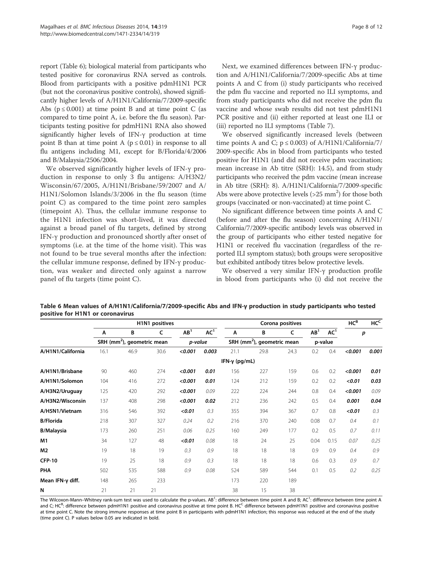report (Table 6); biological material from participants who tested positive for coronavirus RNA served as controls. Blood from participants with a positive pdmH1N1 PCR (but not the coronavirus positive controls), showed significantly higher levels of A/H1N1/California/7/2009-specific Abs  $(p \le 0.001)$  at time point B and at time point C (as compared to time point A, i.e. before the flu season). Participants testing positive for pdmH1N1 RNA also showed significantly higher levels of IFN-γ production at time point B than at time point A ( $p \le 0.01$ ) in response to all flu antigens including M1, except for B/Florida/4/2006 and B/Malaysia/2506/2004.

We observed significantly higher levels of IFN-γ production in response to only 3 flu antigens: A/H3N2/ Wisconsin/67/2005, A/H1N1/Brisbane/59/2007 and A/ H1N1/Solomon Islands/3/2006 in the flu season (time point C) as compared to the time point zero samples (timepoint A). Thus, the cellular immune response to the H1N1 infection was short-lived, it was directed against a broad panel of flu targets, defined by strong IFN-γ production and pronounced shortly after onset of symptoms (i.e. at the time of the home visit). This was not found to be true several months after the infection: the cellular immune response, defined by IFN-γ production, was weaker and directed only against a narrow panel of flu targets (time point C).

Next, we examined differences between IFN-γ production and A/H1N1/California/7/2009-specific Abs at time points A and C from (i) study participants who received the pdm flu vaccine and reported no ILI symptoms, and from study participants who did not receive the pdm flu vaccine and whose swab results did not test pdmH1N1 PCR positive and (ii) either reported at least one ILI or (iii) reported no ILI symptoms (Table 7).

We observed significantly increased levels (between time points A and C;  $p \le 0.003$ ) of A/H1N1/California/7/ 2009-specific Abs in blood from participants who tested positive for H1N1 (and did not receive pdm vaccination; mean increase in Ab titre (SRH): 14.5), and from study participants who received the pdm vaccine (mean increase in Ab titre (SRH): 8). A/H1N1/California/7/2009-specific Abs were above protective levels  $(>25$  mm<sup>2</sup>) for those both groups (vaccinated or non-vaccinated) at time point C.

No significant difference between time points A and C (before and after the flu season) concerning A/H1N1/ California/7/2009-specific antibody levels was observed in the group of participants who either tested negative for H1N1 or received flu vaccination (regardless of the reported ILI symptom status); both groups were seropositive but exhibited antibody titres below protective levels.

We observed a very similar IFN-γ production profile in blood from participants who (i) did not receive the

|                          | H1N1 positives |                                        |      |                 | Corona positives |                       |                                        |      |                 | $HC^B$          | HC <sub>c</sub> |       |
|--------------------------|----------------|----------------------------------------|------|-----------------|------------------|-----------------------|----------------------------------------|------|-----------------|-----------------|-----------------|-------|
|                          | A              | B                                      | c    | AB <sup>1</sup> | AC <sup>1</sup>  | A                     | В                                      | C    | AB <sup>1</sup> | AC <sup>1</sup> | p               |       |
|                          |                | SRH (mm <sup>2</sup> ), geometric mean |      | p-value         |                  |                       | SRH (mm <sup>2</sup> ), geometric mean |      |                 | p-value         |                 |       |
| A/H1N1/California        | 16.1           | 46.9                                   | 30.6 | < 0.001         | 0.003            | 21.1                  | 29.8                                   | 24.3 | 0.2             | 0.4             | < 0.001         | 0.001 |
|                          |                |                                        |      |                 |                  | IFN- $\gamma$ (pg/mL) |                                        |      |                 |                 |                 |       |
| A/H1N1/Brisbane          | 90             | 460                                    | 274  | < 0.001         | 0.01             | 156                   | 227                                    | 159  | 0.6             | 0.2             | < 0.001         | 0.01  |
| A/H1N1/Solomon           | 104            | 416                                    | 272  | < 0.001         | 0.01             | 124                   | 212                                    | 159  | 0.2             | 0.2             | < 0.01          | 0.03  |
| A/H3N2/Uruguay           | 125            | 420                                    | 292  | < 0.001         | 0.09             | 222                   | 224                                    | 244  | 0.8             | 0.4             | < 0.001         | 0.09  |
| A/H3N2/Wisconsin         | 137            | 408                                    | 298  | < 0.001         | 0.02             | 212                   | 236                                    | 242  | 0.5             | 0.4             | 0.001           | 0.04  |
| A/H5N1/Vietnam           | 316            | 546                                    | 392  | < 0.01          | 0.3              | 355                   | 394                                    | 367  | 0.7             | 0.8             | < 0.01          | 0.3   |
| <b>B/Florida</b>         | 218            | 307                                    | 327  | 0.24            | 0.2              | 216                   | 370                                    | 240  | 0.08            | 0.7             | 0.4             | 0.1   |
| <b>B/Malaysia</b>        | 173            | 260                                    | 251  | 0.06            | 0.25             | 160                   | 249                                    | 177  | 0.2             | 0.5             | 0.7             | 0.11  |
| M1                       | 34             | 127                                    | 48   | < 0.01          | 0.08             | 18                    | 24                                     | 25   | 0.04            | 0.15            | 0.07            | 0.25  |
| M <sub>2</sub>           | 19             | 18                                     | 19   | 0.3             | 0.9              | 18                    | 18                                     | 18   | 0.9             | 0.9             | 0.4             | 0.9   |
| <b>CFP-10</b>            | 19             | 25                                     | 18   | 0.9             | 0.3              | 18                    | 18                                     | 18   | 0.6             | 0.3             | 0.9             | 0.7   |
| <b>PHA</b>               | 502            | 535                                    | 588  | 0.9             | 0.08             | 524                   | 589                                    | 544  | 0.1             | 0.5             | 0.2             | 0.25  |
| Mean IFN- $\gamma$ diff. | 148            | 265                                    | 233  |                 |                  | 173                   | 220                                    | 189  |                 |                 |                 |       |
| N                        | 21             | 21                                     | 21   |                 |                  | 38                    | 15                                     | 38   |                 |                 |                 |       |

Table 6 Mean values of A/H1N1/California/7/2009-specific Abs and IFN-γ production in study participants who tested positive for H1N1 or coronavirus

The Wilcoxon-Mann–Whitney rank-sum test was used to calculate the p-values. AB<sup>1</sup>: difference between time point A and B; AC<sup>1</sup>: difference between time point A and C; HC<sup>B</sup>: difference between pdmH1N1 positive and coronavirus positive at time point B. HC<sup>C</sup> difference between pdmH1N1 positive and coronavirus positive at time point C. Note the strong immune responses at time point B in participants with pdmH1N1 infection; this response was reduced at the end of the study (time point C). P values below 0.05 are indicated in bold.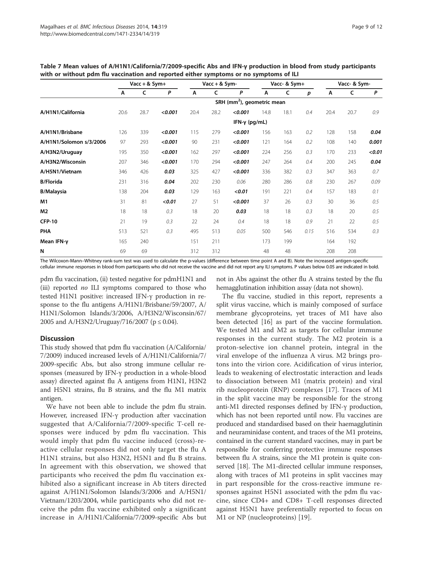|                         | $Vac + &$ Sym+ |      | Vacc + $&$ Sym- |      |      | Vacc- & Sym+                           |      |      | Vacc- & Sym- |      |      |        |
|-------------------------|----------------|------|-----------------|------|------|----------------------------------------|------|------|--------------|------|------|--------|
|                         | A              | C    | P               | A    | C    | P                                      | A    | c    | р            | A    | C    | P      |
|                         |                |      |                 |      |      | SRH (mm <sup>2</sup> ), geometric mean |      |      |              |      |      |        |
| A/H1N1/California       | 20.6           | 28.7 | < 0.001         | 20.4 | 28.2 | < 0.001                                | 14.8 | 18.1 | 0.4          | 20.4 | 20.7 | 0.9    |
|                         |                |      |                 |      |      | IFN- $\gamma$ (pg/mL)                  |      |      |              |      |      |        |
| A/H1N1/Brisbane         | 126            | 339  | < 0.001         | 115  | 279  | < 0.001                                | 156  | 163  | 0.2          | 128  | 158  | 0.04   |
| A/H1N1/Solomon s/3/2006 | 97             | 293  | < 0.001         | 90   | 231  | < 0.001                                | 121  | 164  | 0.2          | 108  | 140  | 0.001  |
| A/H3N2/Uruguay          | 195            | 350  | < 0.001         | 162  | 297  | < 0.001                                | 224  | 256  | 0.3          | 170  | 233  | < 0.01 |
| A/H3N2/Wisconsin        | 207            | 346  | < 0.001         | 170  | 294  | < 0.001                                | 247  | 264  | 0.4          | 200  | 245  | 0.04   |
| A/H5N1/Vietnam          | 346            | 426  | 0.03            | 325  | 427  | < 0.001                                | 336  | 382  | 0.3          | 347  | 363  | 0.7    |
| <b>B/Florida</b>        | 231            | 316  | 0.04            | 202  | 230  | 0.06                                   | 280  | 286  | 0.8          | 230  | 267  | 0.09   |
| <b>B/Malaysia</b>       | 138            | 204  | 0.03            | 129  | 163  | < 0.01                                 | 191  | 221  | 0.4          | 157  | 183  | 0.1    |
| M1                      | 31             | 81   | < 0.01          | 27   | 51   | < 0.001                                | 37   | 26   | 0.3          | 30   | 36   | 0.5    |
| M2                      | 18             | 18   | 0.3             | 18   | 20   | 0.03                                   | 18   | 18   | 0.3          | 18   | 20   | 0.5    |
| <b>CFP-10</b>           | 21             | 19   | 0.3             | 22   | 24   | 0.4                                    | 18   | 18   | 0.9          | 21   | 22   | 0.5    |
| <b>PHA</b>              | 513            | 521  | 0.3             | 495  | 513  | 0.05                                   | 500  | 546  | 0.15         | 516  | 534  | 0.3    |
| Mean IFN-y              | 165            | 240  |                 | 151  | 211  |                                        | 173  | 199  |              | 164  | 192  |        |
| N                       | 69             | 69   |                 | 312  | 312  |                                        | 48   | 48   |              | 208  | 208  |        |

Table 7 Mean values of A/H1N1/California/7/2009-specific Abs and IFN-γ production in blood from study participants with or without pdm flu vaccination and reported either symptoms or no symptoms of ILI

The Wilcoxon-Mann–Whitney rank-sum test was used to calculate the p-values (difference between time point A and B). Note the increased antigen-specific cellular immune responses in blood from participants who did not receive the vaccine and did not report any ILI symptoms. P values below 0.05 are indicated in bold.

pdm flu vaccination, (ii) tested negative for pdmH1N1 and (iii) reported no ILI symptoms compared to those who tested H1N1 positive: increased IFN-γ production in response to the flu antigens A/H1N1/Brisbane/59/2007, A/ H1N1/Solomon Islands/3/2006, A/H3N2/Wisconsin/67/ 2005 and A/H3N2/Uruguay/716/2007 (p ≤ 0.04).

## **Discussion**

This study showed that pdm flu vaccination (A/California/ 7/2009) induced increased levels of A/H1N1/California/7/ 2009-specific Abs, but also strong immune cellular responses (measured by IFN-γ production in a whole-blood assay) directed against flu A antigens from H1N1, H3N2 and H5N1 strains, flu B strains, and the flu M1 matrix antigen.

We have not been able to include the pdm flu strain. However, increased IFN-γ production after vaccination suggested that A/California/7/2009-specific T-cell responses were induced by pdm flu vaccination. This would imply that pdm flu vaccine induced (cross)-reactive cellular responses did not only target the flu A H1N1 strains, but also H3N2, H5N1 and flu B strains. In agreement with this observation, we showed that participants who received the pdm flu vaccination exhibited also a significant increase in Ab titers directed against A/H1N1/Solomon Islands/3/2006 and A/H5N1/ Vietnam/1203/2004, while participants who did not receive the pdm flu vaccine exhibited only a significant increase in A/H1N1/California/7/2009-specific Abs but

not in Abs against the other flu A strains tested by the flu hemagglutination inhibition assay (data not shown).

The flu vaccine, studied in this report, represents a split virus vaccine, which is mainly composed of surface membrane glycoproteins, yet traces of M1 have also been detected [16] as part of the vaccine formulation. We tested M1 and M2 as targets for cellular immune responses in the current study. The M2 protein is a proton-selective ion channel protein, integral in the viral envelope of the influenza A virus. M2 brings protons into the virion core. Acidification of virus interior, leads to weakening of electrostatic interaction and leads to dissociation between M1 (matrix protein) and viral rib nucleoprotein (RNP) complexes [17]. Traces of M1 in the split vaccine may be responsible for the strong anti-M1 directed responses defined by IFN-γ production, which has not been reported until now. Flu vaccines are produced and standardised based on their haemagglutinin and neuraminidase content, and traces of the M1 proteins, contained in the current standard vaccines, may in part be responsible for conferring protective immune responses between flu A strains, since the M1 protein is quite conserved [18]. The M1-directed cellular immune responses, along with traces of M1 proteins in split vaccines may in part responsible for the cross-reactive immune responses against H5N1 associated with the pdm flu vaccine, since CD4+ and CD8+ T-cell responses directed against H5N1 have preferentially reported to focus on M1 or NP (nucleoproteins) [19].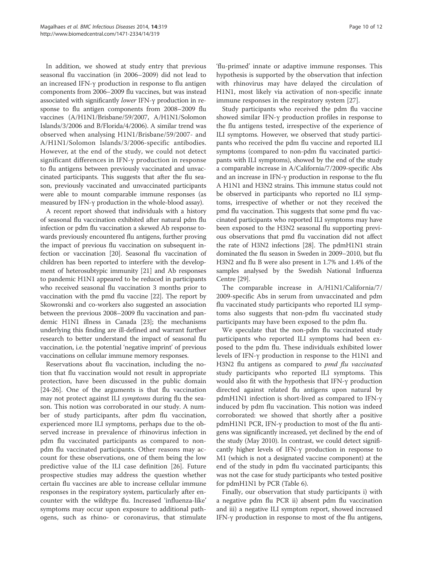In addition, we showed at study entry that previous seasonal flu vaccination (in 2006–2009) did not lead to an increased IFN-γ production in response to flu antigen components from 2006–2009 flu vaccines, but was instead associated with significantly lower IFN-γ production in response to flu antigen components from 2008–2009 flu vaccines (A/H1N1/Brisbane/59/2007, A/H1N1/Solomon Islands/3/2006 and B/Florida/4/2006). A similar trend was observed when analysing H1N1/Brisbane/59/2007- and A/H1N1/Solomon Islands/3/2006-specific antibodies. However, at the end of the study, we could not detect significant differences in IFN-γ production in response to flu antigens between previously vaccinated and unvaccinated participants. This suggests that after the flu season, previously vaccinated and unvaccinated participants were able to mount comparable immune responses (as measured by IFN-γ production in the whole-blood assay).

A recent report showed that individuals with a history of seasonal flu vaccination exhibited after natural pdm flu infection or pdm flu vaccination a skewed Ab response towards previously encountered flu antigens, further proving the impact of previous flu vaccination on subsequent infection or vaccination [20]. Seasonal flu vaccination of children has been reported to interfere with the development of heterosubtypic immunity [21] and Ab responses to pandemic H1N1 appeared to be reduced in participants who received seasonal flu vaccination 3 months prior to vaccination with the pmd flu vaccine [22]. The report by Skowronski and co-workers also suggested an association between the previous 2008–2009 flu vaccination and pandemic H1N1 illness in Canada [23]; the mechanisms underlying this finding are ill-defined and warrant further research to better understand the impact of seasonal flu vaccination, i.e. the potential 'negative imprint' of previous vaccinations on cellular immune memory responses.

Reservations about flu vaccination, including the notion that flu vaccination would not result in appropriate protection, have been discussed in the public domain [24-26]. One of the arguments is that flu vaccination may not protect against ILI symptoms during flu the season. This notion was corroborated in our study. A number of study participants, after pdm flu vaccination, experienced more ILI symptoms, perhaps due to the observed increase in prevalence of rhinovirus infection in pdm flu vaccinated participants as compared to nonpdm flu vaccinated participants. Other reasons may account for these observations, one of them being the low predictive value of the ILI case definition [26]. Future prospective studies may address the question whether certain flu vaccines are able to increase cellular immune responses in the respiratory system, particularly after encounter with the wildtype flu. Increased 'influenza-like' symptoms may occur upon exposure to additional pathogens, such as rhino- or coronavirus, that stimulate

'flu-primed' innate or adaptive immune responses. This hypothesis is supported by the observation that infection with rhinovirus may have delayed the circulation of H1N1, most likely via activation of non-specific innate immune responses in the respiratory system [27].

Study participants who received the pdm flu vaccine showed similar IFN-γ production profiles in response to the flu antigens tested, irrespective of the experience of ILI symptoms. However, we observed that study participants who received the pdm flu vaccine and reported ILI symptoms (compared to non-pdm flu vaccinated participants with ILI symptoms), showed by the end of the study a comparable increase in A/California/7/2009-specific Abs and an increase in IFN-γ production in response to the flu A H1N1 and H3N2 strains. This immune status could not be observed in participants who reported no ILI symptoms, irrespective of whether or not they received the pmd flu vaccination. This suggests that some pmd flu vaccinated participants who reported ILI symptoms may have been exposed to the H3N2 seasonal flu supporting previous observations that pmd flu vaccination did not affect the rate of H3N2 infections [28]. The pdmH1N1 strain dominated the flu season in Sweden in 2009–2010, but flu H3N2 and flu B were also present in 1.7% and 1.4% of the samples analysed by the Swedish National Influenza Centre [29].

The comparable increase in A/H1N1/California/7/ 2009-specific Abs in serum from unvaccinated and pdm flu vaccinated study participants who reported ILI symptoms also suggests that non-pdm flu vaccinated study participants may have been exposed to the pdm flu.

We speculate that the non-pdm flu vaccinated study participants who reported ILI symptoms had been exposed to the pdm flu. These individuals exhibited lower levels of IFN-γ production in response to the H1N1 and H3N2 flu antigens as compared to *pmd flu vaccinated* study participants who reported ILI symptoms. This would also fit with the hypothesis that IFN-γ production directed against related flu antigens upon natural by pdmH1N1 infection is short-lived as compared to IFN-γ induced by pdm flu vaccination. This notion was indeed corroborated: we showed that shortly after a positive pdmH1N1 PCR, IFN-γ production to most of the flu antigens was significantly increased, yet declined by the end of the study (May 2010). In contrast, we could detect significantly higher levels of IFN-γ production in response to M1 (which is not a designated vaccine component) at the end of the study in pdm flu vaccinated participants; this was not the case for study participants who tested positive for pdmH1N1 by PCR (Table 6).

Finally, our observation that study participants i) with a negative pdm flu PCR ii) absent pdm flu vaccination and iii) a negative ILI symptom report, showed increased IFN-γ production in response to most of the flu antigens,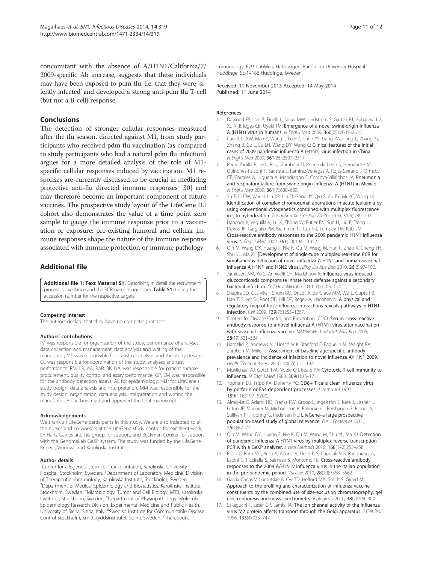concomitant with the absence of A/H1N1/California/7/ 2009-specific Ab increase, suggests that these individuals may have been exposed to pdm flu, i.e. that they were 'silently infected' and developed a strong anti-pdm flu T-cell (but not a B-cell) response.

#### Conclusions

The detection of stronger cellular responses measured after the flu season, directed against M1, from study participants who received pdm flu vaccination (as compared to study participants who had a natural pdm flu infection) argues for a more detailed analysis of the role of M1 specific cellular responses induced by vaccination. M1 responses are currently discussed to be crucial in mediating protective anti-flu directed immune responses [30] and may therefore become an important component of future vaccines. The prospective study layout of the LifeGene ILI cohort also demonstrates the value of a time point zero sample to gauge the immune response prior to a vaccination or exposure: pre-existing humoral and cellular immune responses shape the nature of the immune response associated with immune protection or immune pathology.

## Additional file

Additional file 1: Text Material S1. Describing in detail the recruitment process, surveillance and the PCR-based diagnostics. Table S1. Listing the accession number for the respective targets.

#### Competing interest

The authors declare that they have no competing interest.

#### Authors' contributions

IM was responsible for organization of the study, performance of analyses, data collection and management, data analysis and writing of the manuscript; ME was responsible for statistical analysis and the study design; CL was responsible for coordination of the study, analyses and test performance, RM, LR, AA, RAR, BK, NA, was responsible for patient sample procurement, quality control and assay performance, GP, EM was responsible for the antibody detection assays, AL for epidemiology, NLP for LifeGene's study design, data analysis and interpretation, MM was responsible for the study design, organization, data analysis, interpretation and writing the manuscript. All authors read and approved the final manuscript.

#### Acknowledgements

We thank all LifeGene participants in this study. We are also indebted to all the nurses and co-workers at the LifeGene study centres for excellent work, Dr Hans Gaines and his group for support, and Beckman Coulter for support with the GenomeLab GeXP system. The study was funded by the LifeGene Project, Vinnova, and Karolinska Institutet.

#### Author details

<sup>1</sup>Center for allogeneic stem cell transplantation, Karolinska University Hospital, Stockholm, Sweden. <sup>2</sup>Department of Laboratory Medicine, Division of Therapeutic Immunology, Karolinska Institute, Stockholm, Sweden. <sup>3</sup>Department of Medical Epidemiology and Biostatistics, Karolinska Institute, Stockholm, Sweden. <sup>4</sup>Microbiology, Tumor and Cell Biology, MTB, Karolinska Institutet, Stockholm, Sweden. <sup>5</sup>Department of Physiopathology, Molecular Epidemiology Research Division, Experimental Medicine and Public Health, University of Siena, Siena, Italy. <sup>6</sup>Swedish Institute for Communicable Disease Control Stockholm, Smittskyddsinstitutet, Solna, Sweden. <sup>7</sup>Therapeutic

Immunology, F79, LabMed, Hälsovägen, Karolinska University Hospital Huddinge, SE-14186 Huddinge, Sweden.

Received: 11 November 2013 Accepted: 14 May 2014 Published: 11 June 2014

#### References

- Dawood FS, Jain S, Finelli L, Shaw MW, Lindstrom S, Garten RJ, Gubareva LV, Xu X, Bridges CB, Uyeki TM: Emergence of a novel swine-origin influenza A (H1N1) virus in humans. N Engl J Med 2009, 360(25):2605–2615.
- 2. Cao B, Li XW, Mao Y, Wang J, Lu HZ, Chen YS, Liang ZA, Liang L, Zhang SJ, Zhang B, Gu L, Lu LH, Wang DY, Wang C: Clinical features of the initial cases of 2009 pandemic influenza A (H1N1) virus infection in China. N Engl J Med 2009, 361(26):2507–2517.
- 3. Perez-Padilla R, de la Rosa-Zamboni D, Ponce de Leon S, Hernandez M, Quinones-Falconi F, Bautista E, Ramirez-Venegas A, Rojas-Serrano J, Ormsby CE, Corrales A, Higuera A, Mondragon E, Cordova-Villalobos JA: Pneumonia and respiratory failure from swine-origin influenza A (H1N1) in Mexico. N Engl J Med 2009, 361(7):680–689.
- 4. Yu F, Li CW, Wei H, Liu XP, Lin D, Gong JY, Qin S, Xu FY, Mi YC, Wang JX: Identification of complex chromosomal aberrations in acute leukemia by using conventional cytogenetics combined with multiplex fluorescence in situ hybridization. Zhonghua Xue Ye Xue Za Zhi 2010, 31(5):289–293.
- 5. Hancock K, Veguilla V, Lu X, Zhong W, Butler EN, Sun H, Liu F, Dong L, DeVos JR, Gargiullo PM, Brammer TL, Cox NJ, Tumpey TM, Katz JM: Cross-reactive antibody responses to the 2009 pandemic H1N1 influenza virus. N Engl J Med 2009, 361(20):1945-1952.
- 6. Qin M, Wang DY, Huang F, Nie K, Qu M, Wang M, Han F, Zhao X, Cheng YH, Shu YL, Ma XJ: [Development of single-tube multiplex real-time PCR for simultaneous detection of novel influenza A H1N1 and human seasonal influenza A H1N1 and H3N2 virus]. Bing Du Xue Bao 2010, 26(2):97–102.
- 7. Jamieson AM, Yu S, Annicelli CH, Medzhitov R: Influenza virus-induced glucocorticoids compromise innate host defense against a secondary bacterial infection. Cell Host Microbe 2010, 7(2):103–114.
- 8. Shapira SD, Gat-Viks I, Shum BO, Dricot A, de Grace MM, Wu L, Gupta PB, Hao T, Silver SJ, Root DE, Hill DE, Regev A, Hacohen N: A physical and regulatory map of host-influenza interactions reveals pathways in H1N1 infection. Cell 2009, 139(7):1255–1267.
- Centers for Disease Control and Prevention (CDC): Serum cross-reactive antibody response to a novel influenza A (H1N1) virus after vaccination with seasonal influenza vaccine. MMWR Morb Mortal Wkly Rep 2009, 58(19):521–524.
- 10. Hardelid P, Andrews NJ, Hoschler K, Stanford E, Baguelin M, Waight PA, Zambon M, Miller E: Assessment of baseline age-specific antibody prevalence and incidence of infection to novel influenza A/H1N1 2009. Health Technol Assess 2010, 14(55):115–192.
- 11. McMichael AJ, Gotch FM, Noble GR, Beare PA: Cytotoxic T-cell immunity to influenza. N Engl J Med 1983, 309(1):13–17.
- 12. Topham DJ, Tripp RA, Doherty PC: CD8+ T cells clear influenza virus by perforin or Fas-dependent processes. J Immunol 1997, 159(11):5197–5200.
- 13. Almqvist C, Adami HO, Franks PW, Groop L, Ingelsson E, Kere J, Lissner L, Litton JE, Maeurer M, Michaelsson K, Palmgren J, Pershagen G, Ploner A, Sullivan PF, Tybring G, Pedersen NL: LifeGene-a large prospective population-based study of global relevance. Eur J Epidemiol 2011, 26(1):67–77.
- 14. Qin M, Wang DY, Huang F, Nie K, Qu M, Wang M, Shu YL, Ma XJ: Detection of pandemic influenza A H1N1 virus by multiplex reverse transcription-PCR with a GeXP analyzer. J Virol Methods 2010, 168(1-2):255-258.
- 15. Rizzo C, Rota MC, Bella A, Alfonsi V, Declich S, Caporali MG, Ranghiasci A, Lapini G, Piccirella S, Salmaso S, Montomoli E: Cross-reactive antibody responses to the 2009 A/H1N1v influenza virus in the Italian population in the pre-pandemic period. Vaccine 2010, 28(20):3558–3562.
- 16. Garcia-Canas V, Lorbetskie B, Cyr TD, Hefford MA, Smith S, Girard M: Approach to the profiling and characterization of influenza vaccine constituents by the combined use of size-exclusion chromatography, gel electrophoresis and mass spectrometry. Biologicals 2010, 38(2):294–302.
- 17. Sakaguchi T, Leser GP, Lamb RA: The ion channel activity of the influenza virus M2 protein affects transport through the Golgi apparatus. J Cell Biol 1996, 133(4):733–747.